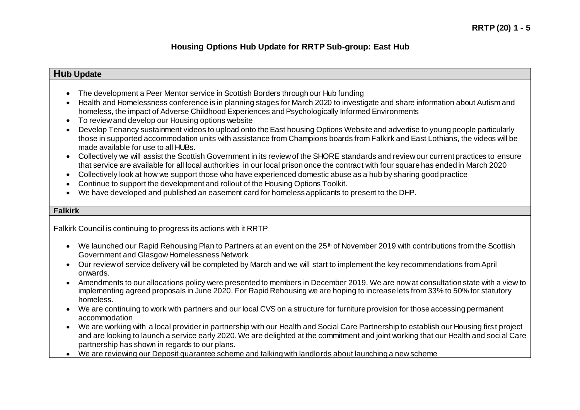### **Hub Update**

- The development a Peer Mentor service in Scottish Borders through our Hub funding
- Health and Homelessness conference is in planning stages for March 2020 to investigate and share information about Autism and homeless, the impact of Adverse Childhood Experiences and Psychologically Informed Environments
- To review and develop our Housing options website
- Develop Tenancy sustainment videos to upload onto the East housing Options Website and advertise to young people particularly those in supported accommodation units with assistance from Champions boards from Falkirk and East Lothians, the videos will be made available for use to all HUBs.
- Collectively we will assist the Scottish Government in its review of the SHORE standards and review our current practices to ensure that service are available for all local authorities in our local prison once the contract with four square has ended in March 2020
- Collectively look at how we support those who have experienced domestic abuse as a hub by sharing good practice
- Continue to support the development and rollout of the Housing Options Toolkit.
- We have developed and published an easement card for homeless applicants to present to the DHP.

### **Falkirk**

Falkirk Council is continuing to progress its actions with it RRTP

- $\bullet$  We launched our Rapid Rehousing Plan to Partners at an event on the 25<sup>th</sup> of November 2019 with contributions from the Scottish Government and Glasgow Homelessness Network
- Our review of service delivery will be completed by March and we will start to implement the key recommendations from April onwards.
- Amendments to our allocations policy were presented to members in December 2019. We are now at consultation state with a view to implementing agreed proposals in June 2020. For Rapid Rehousing we are hoping to increase lets from 33% to 50% for statutory homeless.
- We are continuing to work with partners and our local CVS on a structure for furniture provision for those accessing permanent accommodation
- We are working with a local provider in partnership with our Health and Social Care Partnership to establish our Housing firs t project and are looking to launch a service early 2020. We are delighted at the commitment and joint working that our Health and social Care partnership has shown in regards to our plans.
- We are reviewing our Deposit guarantee scheme and talking with landlords about launching a new scheme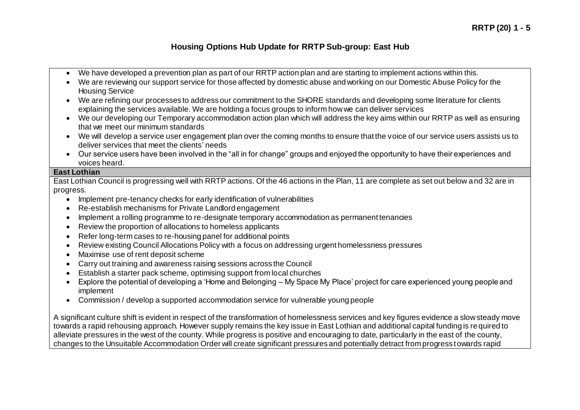- We have developed a prevention plan as part of our RRTP action plan and are starting to implement actions within this.
- We are reviewing our support service for those affected by domestic abuse and working on our Domestic Abuse Policy for the Housing Service
- We are refining our processes to address our commitment to the SHORE standards and developing some literature for clients explaining the services available. We are holding a focus groups to inform how we can deliver services
- We our developing our Temporary accommodation action plan which will address the key aims within our RRTP as well as ensuring that we meet our minimum standards
- We will develop a service user engagement plan over the coming months to ensure that the voice of our service users assists us to deliver services that meet the clients' needs
- Our service users have been involved in the "all in for change" groups and enjoyed the opportunity to have their experiences and voices heard.

#### **East Lothian**

East Lothian Council is progressing well with RRTP actions. Of the 46 actions in the Plan, 11 are complete as set out below and 32 are in progress.

- Implement pre-tenancy checks for early identification of vulnerabilities
- Re-establish mechanisms for Private Landlord engagement
- Implement a rolling programme to re-designate temporary accommodation as permanent tenancies
- Review the proportion of allocations to homeless applicants
- Refer long-term cases to re-housing panel for additional points
- Review existing Council Allocations Policy with a focus on addressing urgent homelessness pressures
- Maximise use of rent deposit scheme
- Carry out training and awareness raising sessions across the Council
- Establish a starter pack scheme, optimising support from local churches
- Explore the potential of developing a 'Home and Belonging My Space My Place' project for care experienced young people and implement
- Commission / develop a supported accommodation service for vulnerable young people

A significant culture shift is evident in respect of the transformation of homelessness services and key figures evidence a slow steady move towards a rapid rehousing approach. However supply remains the key issue in East Lothian and additional capital funding is required to alleviate pressures in the west of the county. While progress is positive and encouraging to date, particularly in the east of the county, changes to the Unsuitable Accommodation Order will create significant pressures and potentially detract from progress towards rapid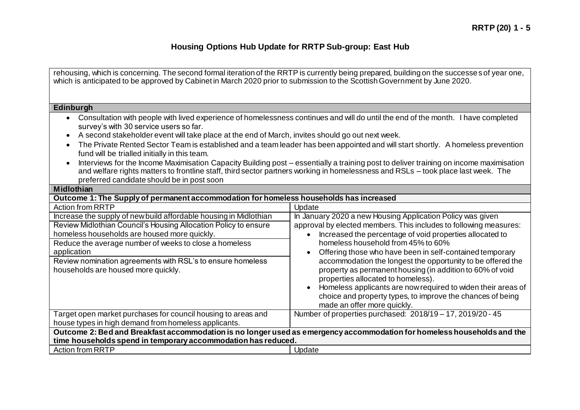| rehousing, which is concerning. The second formal iteration of the RRTP is currently being prepared, building on the successes of year one,<br>which is anticipated to be approved by Cabinet in March 2020 prior to submission to the Scottish Government by June 2020.                                                                                                                                                                                                                                                                                                                                       |                                                                                                                                                                                                                                                                                                                                                                                                                                                                                                                                                                                                                                           |  |
|----------------------------------------------------------------------------------------------------------------------------------------------------------------------------------------------------------------------------------------------------------------------------------------------------------------------------------------------------------------------------------------------------------------------------------------------------------------------------------------------------------------------------------------------------------------------------------------------------------------|-------------------------------------------------------------------------------------------------------------------------------------------------------------------------------------------------------------------------------------------------------------------------------------------------------------------------------------------------------------------------------------------------------------------------------------------------------------------------------------------------------------------------------------------------------------------------------------------------------------------------------------------|--|
|                                                                                                                                                                                                                                                                                                                                                                                                                                                                                                                                                                                                                |                                                                                                                                                                                                                                                                                                                                                                                                                                                                                                                                                                                                                                           |  |
| Edinburgh                                                                                                                                                                                                                                                                                                                                                                                                                                                                                                                                                                                                      |                                                                                                                                                                                                                                                                                                                                                                                                                                                                                                                                                                                                                                           |  |
| Consultation with people with lived experience of homelessness continues and will do until the end of the month. I have completed<br>survey's with 30 service users so far.<br>A second stakeholder event will take place at the end of March, invites should go out next week.<br>The Private Rented Sector Team is established and a team leader has been appointed and will start shortly. A homeless prevention<br>fund will be trialled initially in this team.<br>Interviews for the Income Maximisation Capacity Building post – essentially a training post to deliver training on income maximisation |                                                                                                                                                                                                                                                                                                                                                                                                                                                                                                                                                                                                                                           |  |
| and welfare rights matters to frontline staff, third sector partners working in homelessness and RSLs - took place last week. The<br>preferred candidate should be in post soon                                                                                                                                                                                                                                                                                                                                                                                                                                |                                                                                                                                                                                                                                                                                                                                                                                                                                                                                                                                                                                                                                           |  |
| Midlothian                                                                                                                                                                                                                                                                                                                                                                                                                                                                                                                                                                                                     |                                                                                                                                                                                                                                                                                                                                                                                                                                                                                                                                                                                                                                           |  |
| Outcome 1: The Supply of permanent accommodation for homeless households has increased                                                                                                                                                                                                                                                                                                                                                                                                                                                                                                                         |                                                                                                                                                                                                                                                                                                                                                                                                                                                                                                                                                                                                                                           |  |
| <b>Action from RRTP</b>                                                                                                                                                                                                                                                                                                                                                                                                                                                                                                                                                                                        | Update                                                                                                                                                                                                                                                                                                                                                                                                                                                                                                                                                                                                                                    |  |
| Increase the supply of new build affordable housing in Midlothian<br>Review Midlothian Council's Housing Allocation Policy to ensure<br>homeless households are housed more quickly.<br>Reduce the average number of weeks to close a homeless<br>application<br>Review nomination agreements with RSL's to ensure homeless<br>households are housed more quickly.                                                                                                                                                                                                                                             | In January 2020 a new Housing Application Policy was given<br>approval by elected members. This includes to following measures:<br>Increased the percentage of void properties allocated to<br>$\bullet$<br>homeless household from 45% to 60%<br>Offering those who have been in self-contained temporary<br>accommodation the longest the opportunity to be offered the<br>property as permanent housing (in addition to 60% of void<br>properties allocated to homeless).<br>Homeless applicants are now required to widen their areas of<br>choice and property types, to improve the chances of being<br>made an offer more quickly. |  |
| Target open market purchases for council housing to areas and<br>house types in high demand from homeless applicants.                                                                                                                                                                                                                                                                                                                                                                                                                                                                                          | Number of properties purchased: 2018/19 - 17, 2019/20 - 45                                                                                                                                                                                                                                                                                                                                                                                                                                                                                                                                                                                |  |
| Outcome 2: Bed and Breakfast accommodation is no longer used as emergency accommodation for homeless households and the<br>time households spend in temporary accommodation has reduced.                                                                                                                                                                                                                                                                                                                                                                                                                       |                                                                                                                                                                                                                                                                                                                                                                                                                                                                                                                                                                                                                                           |  |
| <b>Action from RRTP</b>                                                                                                                                                                                                                                                                                                                                                                                                                                                                                                                                                                                        | Update                                                                                                                                                                                                                                                                                                                                                                                                                                                                                                                                                                                                                                    |  |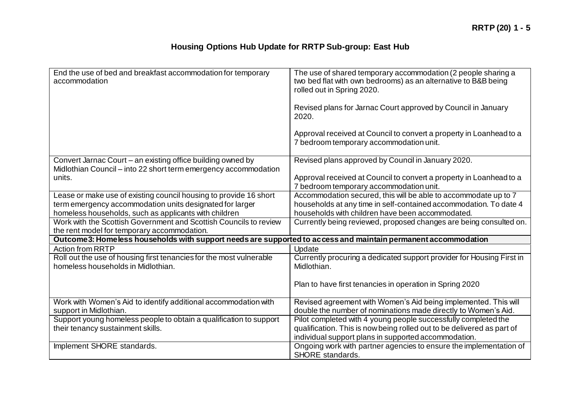| End the use of bed and breakfast accommodation for temporary<br>accommodation                                     | The use of shared temporary accommodation (2 people sharing a<br>two bed flat with own bedrooms) as an alternative to B&B being<br>rolled out in Spring 2020. |  |
|-------------------------------------------------------------------------------------------------------------------|---------------------------------------------------------------------------------------------------------------------------------------------------------------|--|
|                                                                                                                   | Revised plans for Jarnac Court approved by Council in January<br>2020.                                                                                        |  |
|                                                                                                                   | Approval received at Council to convert a property in Loanhead to a<br>7 bedroom temporary accommodation unit.                                                |  |
| Convert Jarnac Court - an existing office building owned by                                                       | Revised plans approved by Council in January 2020.                                                                                                            |  |
| Midlothian Council - into 22 short term emergency accommodation<br>units.                                         | Approval received at Council to convert a property in Loanhead to a<br>7 bedroom temporary accommodation unit.                                                |  |
| Lease or make use of existing council housing to provide 16 short                                                 | Accommodation secured, this will be able to accommodate up to 7                                                                                               |  |
| term emergency accommodation units designated for larger<br>homeless households, such as applicants with children | households at any time in self-contained accommodation. To date 4<br>households with children have been accommodated.                                         |  |
| Work with the Scottish Government and Scottish Councils to review                                                 | Currently being reviewed, proposed changes are being consulted on.                                                                                            |  |
| the rent model for temporary accommodation.                                                                       |                                                                                                                                                               |  |
| Outcome 3: Homeless households with support needs are supported to access and maintain permanent accommodation    |                                                                                                                                                               |  |
| <b>Action from RRTP</b>                                                                                           | Update                                                                                                                                                        |  |
| Roll out the use of housing first tenancies for the most vulnerable<br>homeless households in Midlothian.         | Currently procuring a dedicated support provider for Housing First in<br>Midlothian.                                                                          |  |
|                                                                                                                   | Plan to have first tenancies in operation in Spring 2020                                                                                                      |  |
| Work with Women's Aid to identify additional accommodation with                                                   | Revised agreement with Women's Aid being implemented. This will                                                                                               |  |
| support in Midlothian.                                                                                            | double the number of nominations made directly to Women's Aid.                                                                                                |  |
| Support young homeless people to obtain a qualification to support                                                | Pilot completed with 4 young people successfully completed the                                                                                                |  |
| their tenancy sustainment skills.                                                                                 | qualification. This is now being rolled out to be delivered as part of                                                                                        |  |
|                                                                                                                   | individual support plans in supported accommodation.                                                                                                          |  |
| Implement SHORE standards.                                                                                        | Ongoing work with partner agencies to ensure the implementation of                                                                                            |  |
|                                                                                                                   | SHORE standards.                                                                                                                                              |  |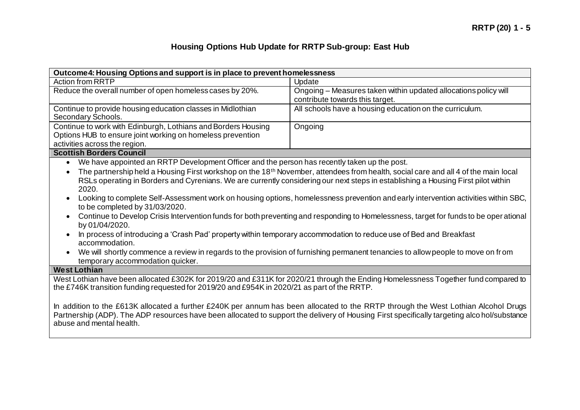| Outcome 4: Housing Options and support is in place to prevent homelessness                                                                                                                                                                                                                                                                                                                                                                                                                                                                                                                                                                                                                                                                                                                                                                                                                                                                                                                                                                                               |                                                                                                    |  |
|--------------------------------------------------------------------------------------------------------------------------------------------------------------------------------------------------------------------------------------------------------------------------------------------------------------------------------------------------------------------------------------------------------------------------------------------------------------------------------------------------------------------------------------------------------------------------------------------------------------------------------------------------------------------------------------------------------------------------------------------------------------------------------------------------------------------------------------------------------------------------------------------------------------------------------------------------------------------------------------------------------------------------------------------------------------------------|----------------------------------------------------------------------------------------------------|--|
| <b>Action from RRTP</b>                                                                                                                                                                                                                                                                                                                                                                                                                                                                                                                                                                                                                                                                                                                                                                                                                                                                                                                                                                                                                                                  | Update                                                                                             |  |
| Reduce the overall number of open homeless cases by 20%.                                                                                                                                                                                                                                                                                                                                                                                                                                                                                                                                                                                                                                                                                                                                                                                                                                                                                                                                                                                                                 | Ongoing - Measures taken within updated allocations policy will<br>contribute towards this target. |  |
| Continue to provide housing education classes in Midlothian<br>Secondary Schools.                                                                                                                                                                                                                                                                                                                                                                                                                                                                                                                                                                                                                                                                                                                                                                                                                                                                                                                                                                                        | All schools have a housing education on the curriculum.                                            |  |
| Continue to work with Edinburgh, Lothians and Borders Housing<br>Options HUB to ensure joint working on homeless prevention<br>activities across the region.                                                                                                                                                                                                                                                                                                                                                                                                                                                                                                                                                                                                                                                                                                                                                                                                                                                                                                             | Ongoing                                                                                            |  |
| <b>Scottish Borders Council</b>                                                                                                                                                                                                                                                                                                                                                                                                                                                                                                                                                                                                                                                                                                                                                                                                                                                                                                                                                                                                                                          |                                                                                                    |  |
| We have appointed an RRTP Development Officer and the person has recently taken up the post.<br>$\bullet$<br>The partnership held a Housing First workshop on the 18 <sup>th</sup> November, attendees from health, social care and all 4 of the main local<br>RSLs operating in Borders and Cyrenians. We are currently considering our next steps in establishing a Housing First pilot within<br>2020.<br>Looking to complete Self-Assessment work on housing options, homelessness prevention and early intervention activities within SBC,<br>to be completed by 31/03/2020.<br>Continue to Develop Crisis Intervention funds for both preventing and responding to Homelessness, target for funds to be oper ational<br>$\bullet$<br>by 01/04/2020.<br>In process of introducing a 'Crash Pad' property within temporary accommodation to reduce use of Bed and Breakfast<br>accommodation.<br>We will shortly commence a review in regards to the provision of furnishing permanent tenancies to allow people to move on from<br>temporary accommodation quicker. |                                                                                                    |  |
| <b>West Lothian</b>                                                                                                                                                                                                                                                                                                                                                                                                                                                                                                                                                                                                                                                                                                                                                                                                                                                                                                                                                                                                                                                      |                                                                                                    |  |
| West Lothian have been allocated £302K for 2019/20 and £311K for 2020/21 through the Ending Homelessness Together fund compared to<br>the £746K transition funding requested for 2019/20 and £954K in 2020/21 as part of the RRTP.                                                                                                                                                                                                                                                                                                                                                                                                                                                                                                                                                                                                                                                                                                                                                                                                                                       |                                                                                                    |  |
| In addition to the £613K allocated a further £240K per annum has been allocated to the RRTP through the West Lothian Alcohol Drugs<br>Partnership (ADP). The ADP resources have been allocated to support the delivery of Housing First specifically targeting alco hol/substance<br>abuse and mental health.                                                                                                                                                                                                                                                                                                                                                                                                                                                                                                                                                                                                                                                                                                                                                            |                                                                                                    |  |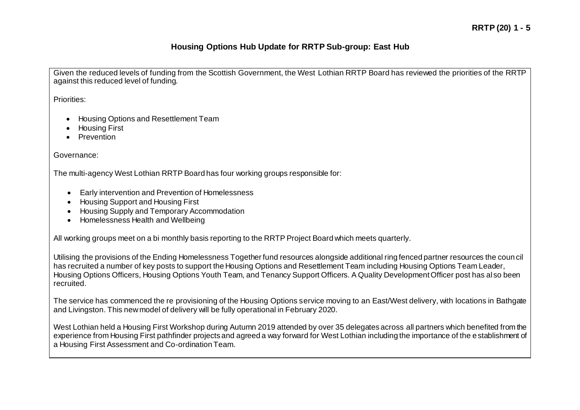Given the reduced levels of funding from the Scottish Government, the West Lothian RRTP Board has reviewed the priorities of the RRTP against this reduced level of funding.

Priorities:

- Housing Options and Resettlement Team
- Housing First
- **•** Prevention

Governance:

The multi-agency West Lothian RRTP Board has four working groups responsible for:

- Early intervention and Prevention of Homelessness
- Housing Support and Housing First
- Housing Supply and Temporary Accommodation
- Homelessness Health and Wellbeing

All working groups meet on a bi monthly basis reporting to the RRTP Project Board which meets quarterly.

Utilising the provisions of the Ending Homelessness Together fund resources alongside additional ring fenced partner resources the coun cil has recruited a number of key posts to support the Housing Options and Resettlement Team including Housing Options Team Leader, Housing Options Officers, Housing Options Youth Team, and Tenancy Support Officers. A Quality Development Officer post has also been recruited.

The service has commenced the re provisioning of the Housing Options service moving to an East/West delivery, with locations in Bathgate and Livingston. This new model of delivery will be fully operational in February 2020.

West Lothian held a Housing First Workshop during Autumn 2019 attended by over 35 delegates across all partners which benefited from the experience from Housing First pathfinder projects and agreed a way forward for West Lothian including the importance of the e stablishment of a Housing First Assessment and Co-ordination Team.